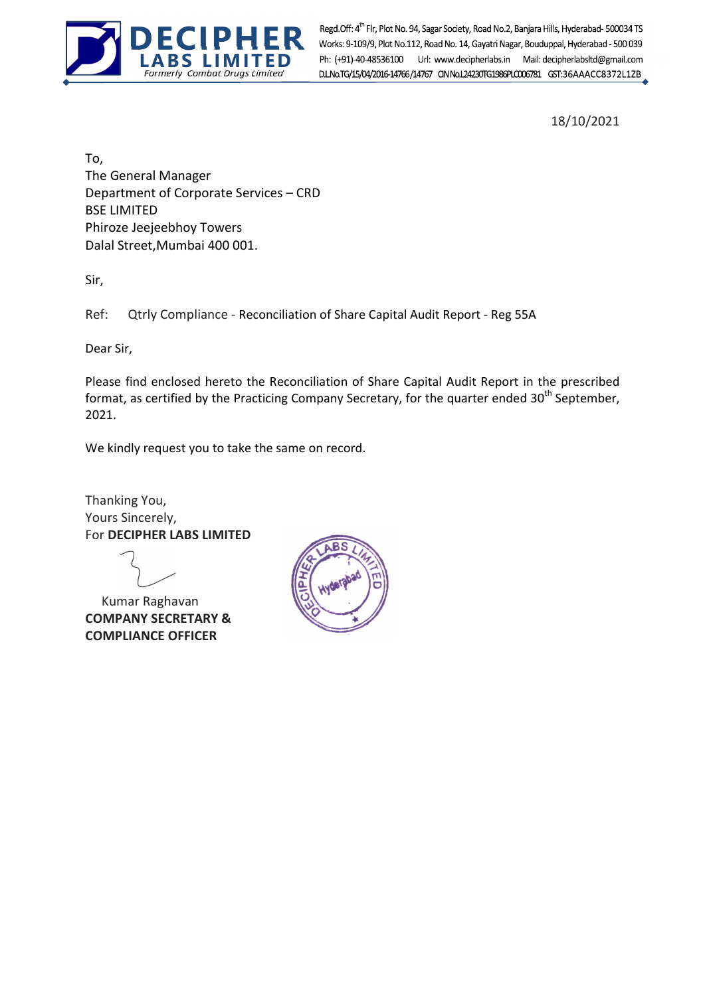

Formerly Combat Drugs Limited Regd.Off: 4<sup>th</sup> Flr, Plot No. 94, Sagar Society, Road No. 2, Banjara Hills, Hyderabad- 500034 TS<br>Works: 9-109/9, Plot No.112, Road No. 14, Gayatri Nagar, Bouduppal, Hyderabad - 500 039<br>Ph: (+91)-40-48536100 Url: www.deciph Ph: (+91)-40-48536100 Url: www.decipherlabs.in Mail: decipherlabsltd@gmail.com

18/10/2021

To, The General Manager Department of Corporate Services – CRD BSE LIMITED Phiroze Jeejeebhoy Towers Dalal Street,Mumbai 400 001.

Sir,

Ref: Qtrly Compliance - Reconciliation of Share Capital Audit Report - Reg 55A

Dear Sir,

Please find enclosed hereto the Reconciliation of Share Capital Audit Report in the prescribed format, as certified by the Practicing Company Secretary, for the quarter ended 30<sup>th</sup> September. 2021.

We kindly request you to take the same on record.

Thanking You, Yours Sincerely, For DECIPHER LABS LIMITED

 Kumar Raghavan COMPANY SECRETARY & COMPLIANCE OFFICER

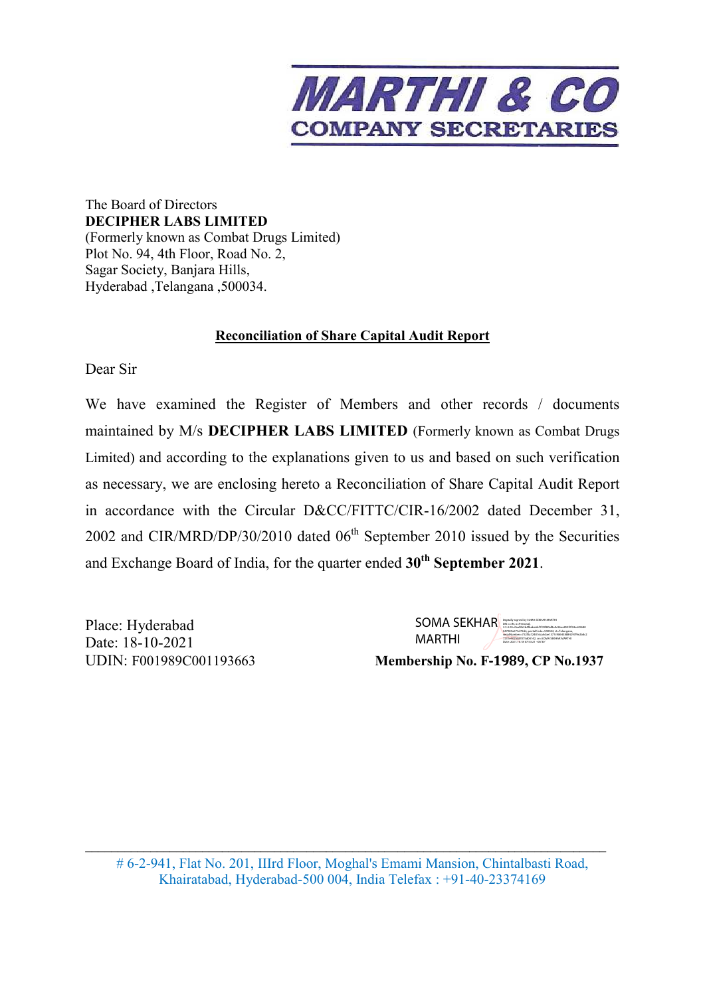

The Board of Directors **DECIPHER LABS LIMITED**  (Formerly known as Combat Drugs Limited) Plot No. 94, 4th Floor, Road No. 2, Sagar Society, Banjara Hills, Hyderabad ,Telangana ,500034.

## **Reconciliation of Share Capital Audit Report**

Dear Sir

We have examined the Register of Members and other records / documents maintained by M/s **DECIPHER LABS LIMITED** (Formerly known as Combat Drugs Limited) and according to the explanations given to us and based on such verification as necessary, we are enclosing hereto a Reconciliation of Share Capital Audit Report in accordance with the Circular D&CC/FITTC/CIR-16/2002 dated December 31, 2002 and CIR/MRD/DP/30/2010 dated  $06<sup>th</sup>$  September 2010 issued by the Securities and Exchange Board of India, for the quarter ended **30th September 2021**.

Place: Hyderabad Date: 18-10-2021 UDIN: F001989C001193663 **Membership No. F**‐1989**, CP No.1937**

SOMA SEKHAR DISPOSITION CONCIDENCE MARTHI Digitally signed by SOMA SEKHAR MARTHI 2.5.4.20=0aaf2b3b4fbabe6bf1f39f80af8e0c86ea853f2f34e649680 047085a573d72d6, postalCode=500044, st=Telangana, serialNumber=732f0a724816ca4cbe1377c986438884297f9e2b8c2 7231e402fdd7875d04142, cn=SOMA SEKHAR MARTHI Date: 2021.10.18 07:53:21 +05'30'

# 6-2-941, Flat No. 201, IIIrd Floor, Moghal's Emami Mansion, Chintalbasti Road, Khairatabad, Hyderabad-500 004, India Telefax : +91-40-23374169

\_\_\_\_\_\_\_\_\_\_\_\_\_\_\_\_\_\_\_\_\_\_\_\_\_\_\_\_\_\_\_\_\_\_\_\_\_\_\_\_\_\_\_\_\_\_\_\_\_\_\_\_\_\_\_\_\_\_\_\_\_\_\_\_\_\_\_\_\_\_\_\_\_\_\_\_\_\_\_\_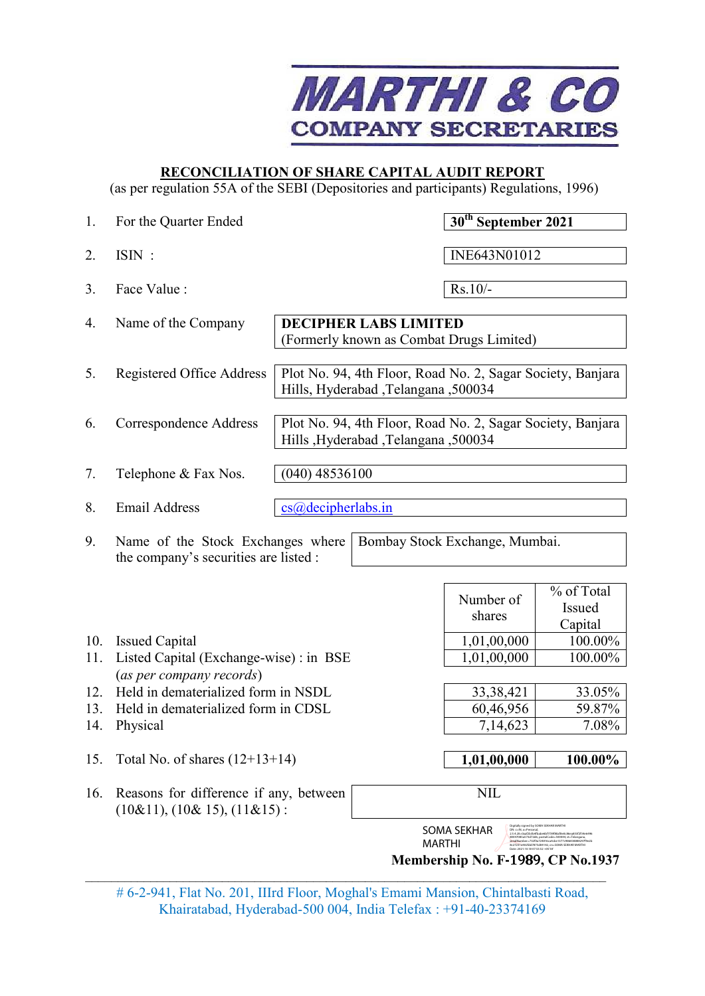

## **RECONCILIATION OF SHARE CAPITAL AUDIT REPORT**

(as per regulation 55A of the SEBI (Depositories and participants) Regulations, 1996)

| 1.         | For the Quarter Ended                                                            |                    |                                        | 30 <sup>th</sup> September 2021                            |                                                                                                                                                                          |
|------------|----------------------------------------------------------------------------------|--------------------|----------------------------------------|------------------------------------------------------------|--------------------------------------------------------------------------------------------------------------------------------------------------------------------------|
| 2.         | ISIN:                                                                            |                    |                                        | INE643N01012                                               |                                                                                                                                                                          |
| 3.         | Face Value:                                                                      |                    |                                        | $Rs.10/-$                                                  |                                                                                                                                                                          |
| 4.         | Name of the Company                                                              |                    | <b>DECIPHER LABS LIMITED</b>           | (Formerly known as Combat Drugs Limited)                   |                                                                                                                                                                          |
| 5.         | Registered Office Address                                                        |                    | Hills, Hyderabad, Telangana, 500034    | Plot No. 94, 4th Floor, Road No. 2, Sagar Society, Banjara |                                                                                                                                                                          |
| 6.         | Correspondence Address                                                           |                    | Hills , Hyderabad , Telangana , 500034 | Plot No. 94, 4th Floor, Road No. 2, Sagar Society, Banjara |                                                                                                                                                                          |
| 7.         | Telephone & Fax Nos.                                                             | $(040)$ 48536100   |                                        |                                                            |                                                                                                                                                                          |
| 8.         | <b>Email Address</b>                                                             | cs@decipherlabs.in |                                        |                                                            |                                                                                                                                                                          |
| 9.         | Name of the Stock Exchanges where<br>the company's securities are listed :       |                    |                                        | Bombay Stock Exchange, Mumbai.                             |                                                                                                                                                                          |
|            |                                                                                  |                    |                                        | Number of<br>shares                                        | % of Total<br>Issued<br>Capital                                                                                                                                          |
| 10.        | <b>Issued Capital</b>                                                            |                    |                                        | 1,01,00,000                                                | 100.00%                                                                                                                                                                  |
| 11.        | Listed Capital (Exchange-wise) : in BSE                                          |                    |                                        | 1,01,00,000                                                | 100.00%                                                                                                                                                                  |
|            | (as per company records)                                                         |                    |                                        |                                                            |                                                                                                                                                                          |
| 12.        | Held in dematerialized form in NSDL                                              |                    |                                        | 33, 38, 421                                                | 33.05%                                                                                                                                                                   |
| 13.<br>14. | Held in dematerialized form in CDSL<br>Physical                                  |                    | 60,46,956<br>7,14,623                  | 59.87%<br>7.08%                                            |                                                                                                                                                                          |
|            |                                                                                  |                    |                                        |                                                            |                                                                                                                                                                          |
| 15.        | Total No. of shares $(12+13+14)$                                                 |                    |                                        | 1,01,00,000                                                | 100.00%                                                                                                                                                                  |
| 16.        | Reasons for difference if any, between<br>$(10\&11)$ , $(10\&15)$ , $(11\&15)$ : |                    |                                        | <b>NIL</b>                                                 |                                                                                                                                                                          |
|            |                                                                                  |                    | <b>MARTHI</b>                          | <b>SOMA SEKHAR</b><br>Membership No. F-1989, CP No.1937    | itally signed by SOMA SEKHAR MAF<br>DN: c=IN, o=Personal,<br>2.5.4.20=0aaf2b3b4fbabe6bf1f39f80af8e0c86ea853f2f34e6496<br>80047085a573d72d6.postalCode=500044.st=Telangan |

# 6-2-941, Flat No. 201, IIIrd Floor, Moghal's Emami Mansion, Chintalbasti Road, Khairatabad, Hyderabad-500 004, India Telefax : +91-40-23374169